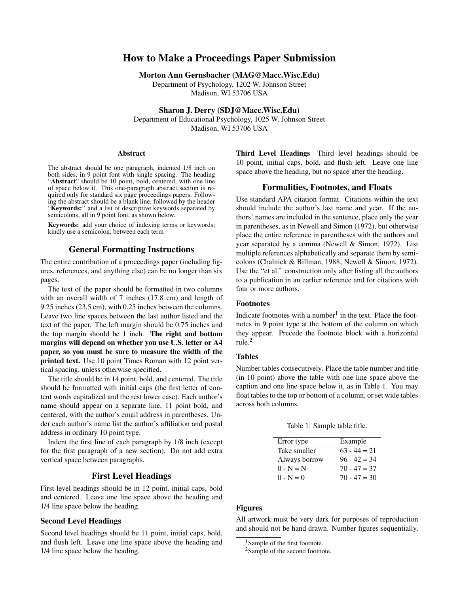# How to Make a Proceedings Paper Submission

Morton Ann Gernsbacher (MAG@Macc.Wisc.Edu)

Department of Psychology, 1202 W. Johnson Street Madison, WI 53706 USA

Sharon J. Derry (SDJ@Macc.Wisc.Edu)

Department of Educational Psychology, 1025 W. Johnson Street Madison, WI 53706 USA

#### Abstract

The abstract should be one paragraph, indented 1/8 inch on both sides, in 9 point font with single spacing. The heading "Abstract" should be 10 point, bold, centered, with one line of space below it. This one-paragraph abstract section is required only for standard six page proceedings papers. Following the abstract should be a blank line, followed by the header "Keywords:" and a list of descriptive keywords separated by semicolons, all in 9 point font, as shown below.

Keywords: add your choice of indexing terms or keywords; kindly use a semicolon; between each term

### General Formatting Instructions

The entire contribution of a proceedings paper (including figures, references, and anything else) can be no longer than six pages.

The text of the paper should be formatted in two columns with an overall width of 7 inches (17.8 cm) and length of 9.25 inches (23.5 cm), with 0.25 inches between the columns. Leave two line spaces between the last author listed and the text of the paper. The left margin should be 0.75 inches and the top margin should be 1 inch. The right and bottom margins will depend on whether you use U.S. letter or A4 paper, so you must be sure to measure the width of the printed text. Use 10 point Times Roman with 12 point vertical spacing, unless otherwise specified.

The title should be in 14 point, bold, and centered. The title should be formatted with initial caps (the first letter of content words capitalized and the rest lower case). Each author's name should appear on a separate line, 11 point bold, and centered, with the author's email address in parentheses. Under each author's name list the author's affiliation and postal address in ordinary 10 point type.

Indent the first line of each paragraph by 1/8 inch (except for the first paragraph of a new section). Do not add extra vertical space between paragraphs.

## First Level Headings

First level headings should be in 12 point, initial caps, bold and centered. Leave one line space above the heading and 1/4 line space below the heading.

### Second Level Headings

Second level headings should be 11 point, initial caps, bold, and flush left. Leave one line space above the heading and 1/4 line space below the heading.

Third Level Headings Third level headings should be 10 point, initial caps, bold, and flush left. Leave one line space above the heading, but no space after the heading.

### Formalities, Footnotes, and Floats

Use standard APA citation format. Citations within the text should include the author's last name and year. If the authors' names are included in the sentence, place only the year in parentheses, as in Newell and Simon (1972), but otherwise place the entire reference in parentheses with the authors and year separated by a comma (Newell & Simon, 1972). List multiple references alphabetically and separate them by semicolons (Chalnick & Billman, 1988; Newell & Simon, 1972). Use the "et al." construction only after listing all the authors to a publication in an earlier reference and for citations with four or more authors.

### Footnotes

Indicate footnotes with a number<sup>1</sup> in the text. Place the footnotes in 9 point type at the bottom of the column on which they appear. Precede the footnote block with a horizontal rule.<sup>2</sup>

### Tables

Number tables consecutively. Place the table number and title (in 10 point) above the table with one line space above the caption and one line space below it, as in Table 1. You may float tables to the top or bottom of a column, or set wide tables across both columns.

Table 1: Sample table title.

| Error type    | Example        |
|---------------|----------------|
| Take smaller  | $63 - 44 = 21$ |
| Always borrow | $96 - 42 = 34$ |
| $0 - N = N$   | $70 - 47 = 37$ |
| $0 - N = 0$   | $70 - 47 = 30$ |

### Figures

All artwork must be very dark for purposes of reproduction and should not be hand drawn. Number figures sequentially,

<sup>&</sup>lt;sup>1</sup>Sample of the first footnote.

<sup>&</sup>lt;sup>2</sup>Sample of the second footnote.